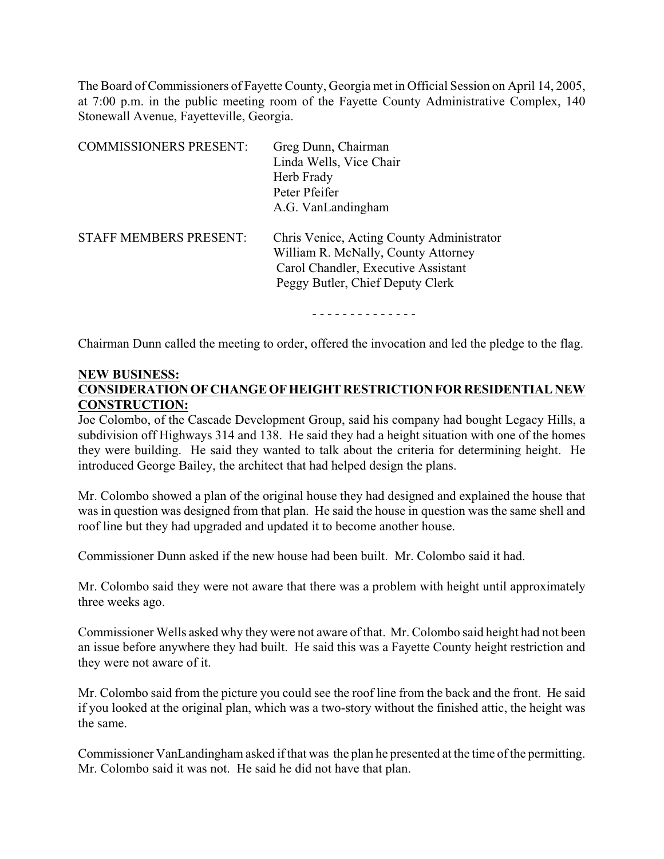The Board of Commissioners of Fayette County, Georgia met in Official Session on April 14, 2005, at 7:00 p.m. in the public meeting room of the Fayette County Administrative Complex, 140 Stonewall Avenue, Fayetteville, Georgia.

| <b>COMMISSIONERS PRESENT:</b> | Greg Dunn, Chairman<br>Linda Wells, Vice Chair<br>Herb Frady<br>Peter Pfeifer<br>A.G. VanLandingham                                                         |
|-------------------------------|-------------------------------------------------------------------------------------------------------------------------------------------------------------|
| STAFF MEMBERS PRESENT:        | Chris Venice, Acting County Administrator<br>William R. McNally, County Attorney<br>Carol Chandler, Executive Assistant<br>Peggy Butler, Chief Deputy Clerk |

- - - - - - - - - - - - - -

Chairman Dunn called the meeting to order, offered the invocation and led the pledge to the flag.

### **NEW BUSINESS: CONSIDERATION OF CHANGE OF HEIGHT RESTRICTION FOR RESIDENTIAL NEW CONSTRUCTION:**

Joe Colombo, of the Cascade Development Group, said his company had bought Legacy Hills, a subdivision off Highways 314 and 138. He said they had a height situation with one of the homes they were building. He said they wanted to talk about the criteria for determining height. He introduced George Bailey, the architect that had helped design the plans.

Mr. Colombo showed a plan of the original house they had designed and explained the house that was in question was designed from that plan. He said the house in question was the same shell and roof line but they had upgraded and updated it to become another house.

Commissioner Dunn asked if the new house had been built. Mr. Colombo said it had.

Mr. Colombo said they were not aware that there was a problem with height until approximately three weeks ago.

Commissioner Wells asked why they were not aware of that. Mr. Colombo said height had not been an issue before anywhere they had built. He said this was a Fayette County height restriction and they were not aware of it.

Mr. Colombo said from the picture you could see the roof line from the back and the front. He said if you looked at the original plan, which was a two-story without the finished attic, the height was the same.

Commissioner VanLandingham asked if that was the plan he presented at the time of the permitting. Mr. Colombo said it was not. He said he did not have that plan.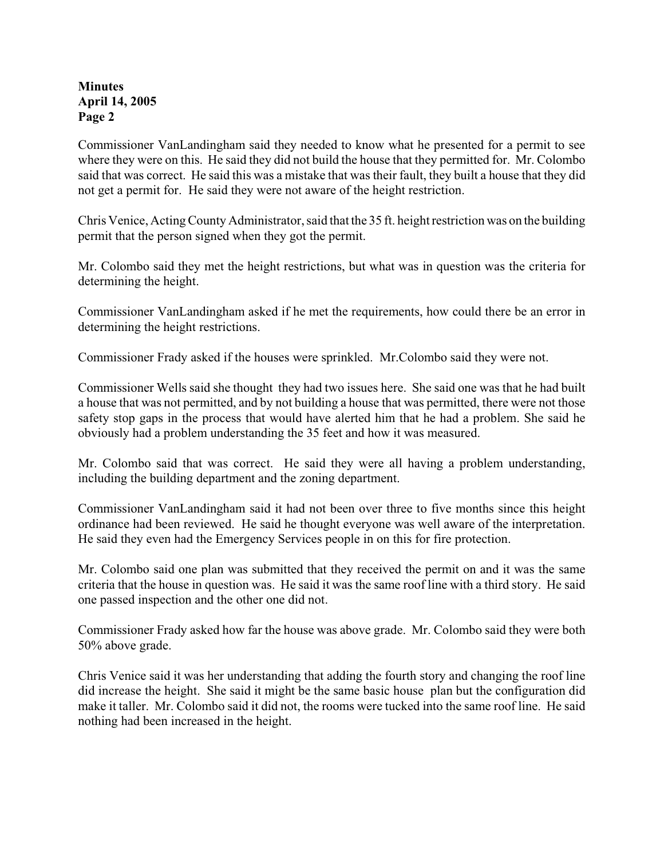Commissioner VanLandingham said they needed to know what he presented for a permit to see where they were on this. He said they did not build the house that they permitted for. Mr. Colombo said that was correct. He said this was a mistake that was their fault, they built a house that they did not get a permit for. He said they were not aware of the height restriction.

Chris Venice, Acting County Administrator, said that the 35 ft. height restriction was on the building permit that the person signed when they got the permit.

Mr. Colombo said they met the height restrictions, but what was in question was the criteria for determining the height.

Commissioner VanLandingham asked if he met the requirements, how could there be an error in determining the height restrictions.

Commissioner Frady asked if the houses were sprinkled. Mr.Colombo said they were not.

Commissioner Wells said she thought they had two issues here. She said one was that he had built a house that was not permitted, and by not building a house that was permitted, there were not those safety stop gaps in the process that would have alerted him that he had a problem. She said he obviously had a problem understanding the 35 feet and how it was measured.

Mr. Colombo said that was correct. He said they were all having a problem understanding, including the building department and the zoning department.

Commissioner VanLandingham said it had not been over three to five months since this height ordinance had been reviewed. He said he thought everyone was well aware of the interpretation. He said they even had the Emergency Services people in on this for fire protection.

Mr. Colombo said one plan was submitted that they received the permit on and it was the same criteria that the house in question was. He said it was the same roof line with a third story. He said one passed inspection and the other one did not.

Commissioner Frady asked how far the house was above grade. Mr. Colombo said they were both 50% above grade.

Chris Venice said it was her understanding that adding the fourth story and changing the roof line did increase the height. She said it might be the same basic house plan but the configuration did make it taller. Mr. Colombo said it did not, the rooms were tucked into the same roof line. He said nothing had been increased in the height.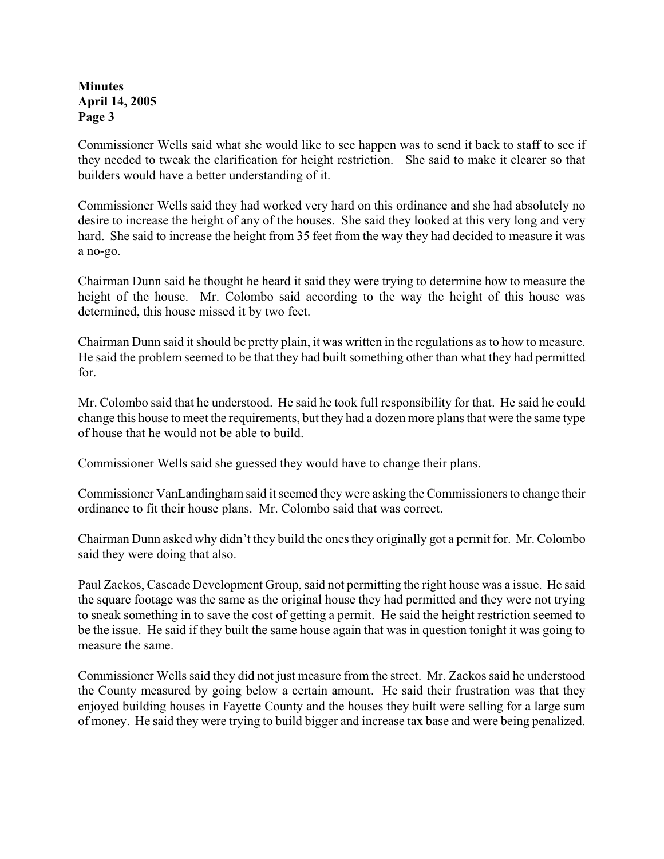Commissioner Wells said what she would like to see happen was to send it back to staff to see if they needed to tweak the clarification for height restriction. She said to make it clearer so that builders would have a better understanding of it.

Commissioner Wells said they had worked very hard on this ordinance and she had absolutely no desire to increase the height of any of the houses. She said they looked at this very long and very hard. She said to increase the height from 35 feet from the way they had decided to measure it was a no-go.

Chairman Dunn said he thought he heard it said they were trying to determine how to measure the height of the house. Mr. Colombo said according to the way the height of this house was determined, this house missed it by two feet.

Chairman Dunn said it should be pretty plain, it was written in the regulations as to how to measure. He said the problem seemed to be that they had built something other than what they had permitted for.

Mr. Colombo said that he understood. He said he took full responsibility for that. He said he could change this house to meet the requirements, but they had a dozen more plans that were the same type of house that he would not be able to build.

Commissioner Wells said she guessed they would have to change their plans.

Commissioner VanLandingham said it seemed they were asking the Commissioners to change their ordinance to fit their house plans. Mr. Colombo said that was correct.

Chairman Dunn asked why didn't they build the ones they originally got a permit for. Mr. Colombo said they were doing that also.

Paul Zackos, Cascade Development Group, said not permitting the right house was a issue. He said the square footage was the same as the original house they had permitted and they were not trying to sneak something in to save the cost of getting a permit. He said the height restriction seemed to be the issue. He said if they built the same house again that was in question tonight it was going to measure the same.

Commissioner Wells said they did not just measure from the street. Mr. Zackos said he understood the County measured by going below a certain amount. He said their frustration was that they enjoyed building houses in Fayette County and the houses they built were selling for a large sum of money. He said they were trying to build bigger and increase tax base and were being penalized.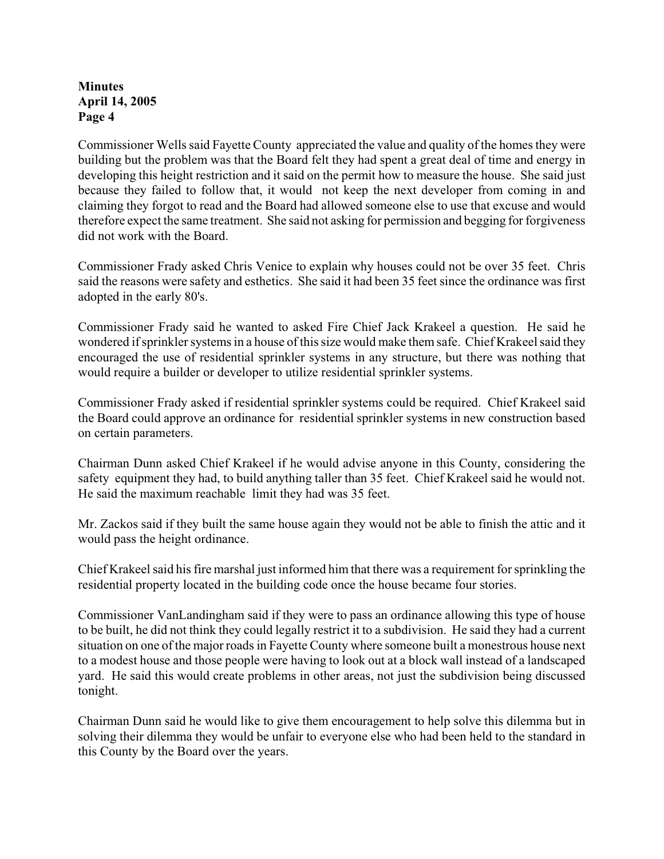Commissioner Wells said Fayette County appreciated the value and quality of the homes they were building but the problem was that the Board felt they had spent a great deal of time and energy in developing this height restriction and it said on the permit how to measure the house. She said just because they failed to follow that, it would not keep the next developer from coming in and claiming they forgot to read and the Board had allowed someone else to use that excuse and would therefore expect the same treatment. She said not asking for permission and begging for forgiveness did not work with the Board.

Commissioner Frady asked Chris Venice to explain why houses could not be over 35 feet. Chris said the reasons were safety and esthetics. She said it had been 35 feet since the ordinance was first adopted in the early 80's.

Commissioner Frady said he wanted to asked Fire Chief Jack Krakeel a question. He said he wondered if sprinkler systems in a house of this size would make them safe. Chief Krakeel said they encouraged the use of residential sprinkler systems in any structure, but there was nothing that would require a builder or developer to utilize residential sprinkler systems.

Commissioner Frady asked if residential sprinkler systems could be required. Chief Krakeel said the Board could approve an ordinance for residential sprinkler systems in new construction based on certain parameters.

Chairman Dunn asked Chief Krakeel if he would advise anyone in this County, considering the safety equipment they had, to build anything taller than 35 feet. Chief Krakeel said he would not. He said the maximum reachable limit they had was 35 feet.

Mr. Zackos said if they built the same house again they would not be able to finish the attic and it would pass the height ordinance.

Chief Krakeel said his fire marshal just informed him that there was a requirement for sprinkling the residential property located in the building code once the house became four stories.

Commissioner VanLandingham said if they were to pass an ordinance allowing this type of house to be built, he did not think they could legally restrict it to a subdivision. He said they had a current situation on one of the major roads in Fayette County where someone built a monestrous house next to a modest house and those people were having to look out at a block wall instead of a landscaped yard. He said this would create problems in other areas, not just the subdivision being discussed tonight.

Chairman Dunn said he would like to give them encouragement to help solve this dilemma but in solving their dilemma they would be unfair to everyone else who had been held to the standard in this County by the Board over the years.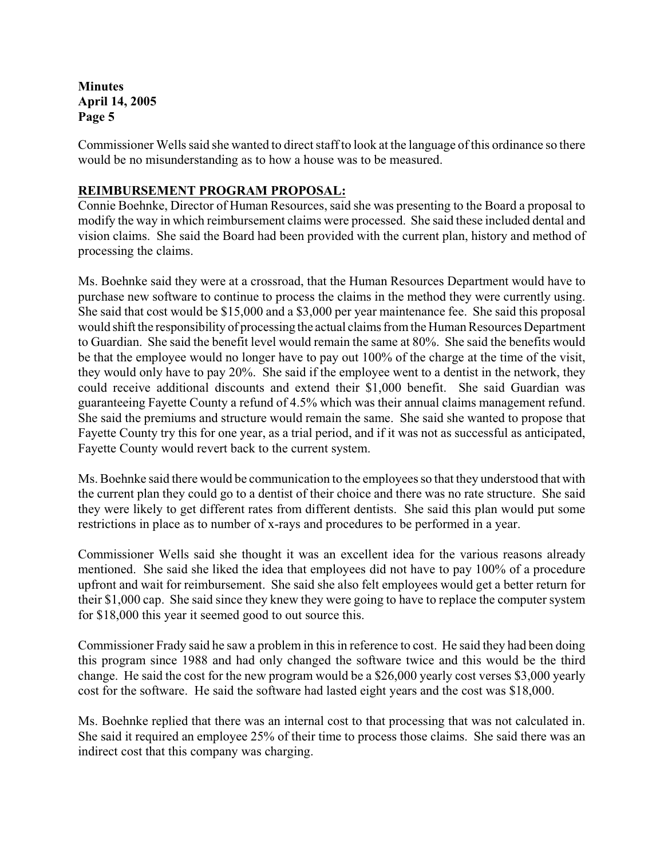Commissioner Wells said she wanted to direct staff to look at the language of this ordinance so there would be no misunderstanding as to how a house was to be measured.

## **REIMBURSEMENT PROGRAM PROPOSAL:**

Connie Boehnke, Director of Human Resources, said she was presenting to the Board a proposal to modify the way in which reimbursement claims were processed. She said these included dental and vision claims. She said the Board had been provided with the current plan, history and method of processing the claims.

Ms. Boehnke said they were at a crossroad, that the Human Resources Department would have to purchase new software to continue to process the claims in the method they were currently using. She said that cost would be \$15,000 and a \$3,000 per year maintenance fee. She said this proposal would shift the responsibility of processing the actual claims from the Human Resources Department to Guardian. She said the benefit level would remain the same at 80%. She said the benefits would be that the employee would no longer have to pay out 100% of the charge at the time of the visit, they would only have to pay 20%. She said if the employee went to a dentist in the network, they could receive additional discounts and extend their \$1,000 benefit. She said Guardian was guaranteeing Fayette County a refund of 4.5% which was their annual claims management refund. She said the premiums and structure would remain the same. She said she wanted to propose that Fayette County try this for one year, as a trial period, and if it was not as successful as anticipated, Fayette County would revert back to the current system.

Ms. Boehnke said there would be communication to the employees so that they understood that with the current plan they could go to a dentist of their choice and there was no rate structure. She said they were likely to get different rates from different dentists. She said this plan would put some restrictions in place as to number of x-rays and procedures to be performed in a year.

Commissioner Wells said she thought it was an excellent idea for the various reasons already mentioned. She said she liked the idea that employees did not have to pay 100% of a procedure upfront and wait for reimbursement. She said she also felt employees would get a better return for their \$1,000 cap. She said since they knew they were going to have to replace the computer system for \$18,000 this year it seemed good to out source this.

Commissioner Frady said he saw a problem in this in reference to cost. He said they had been doing this program since 1988 and had only changed the software twice and this would be the third change. He said the cost for the new program would be a \$26,000 yearly cost verses \$3,000 yearly cost for the software. He said the software had lasted eight years and the cost was \$18,000.

Ms. Boehnke replied that there was an internal cost to that processing that was not calculated in. She said it required an employee 25% of their time to process those claims. She said there was an indirect cost that this company was charging.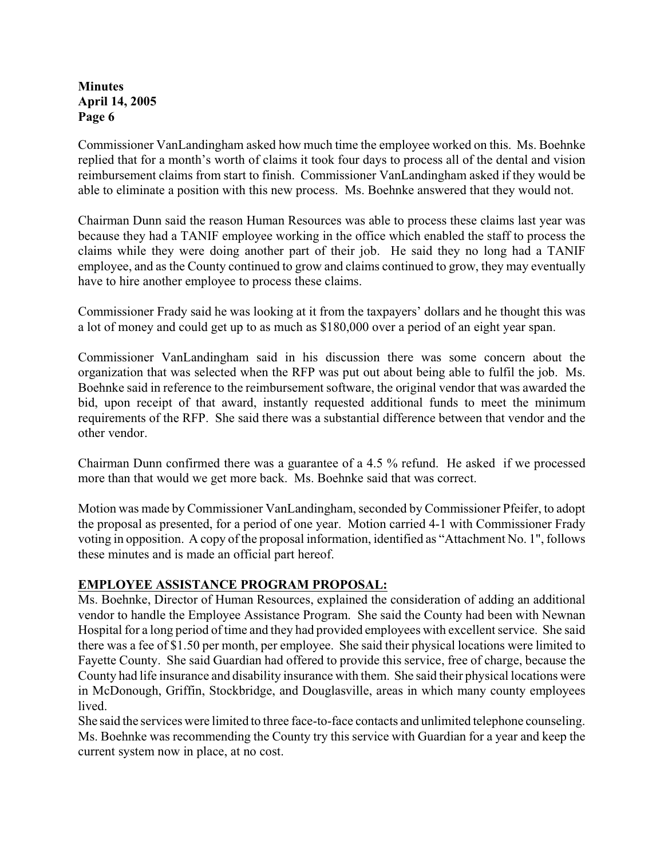Commissioner VanLandingham asked how much time the employee worked on this. Ms. Boehnke replied that for a month's worth of claims it took four days to process all of the dental and vision reimbursement claims from start to finish. Commissioner VanLandingham asked if they would be able to eliminate a position with this new process. Ms. Boehnke answered that they would not.

Chairman Dunn said the reason Human Resources was able to process these claims last year was because they had a TANIF employee working in the office which enabled the staff to process the claims while they were doing another part of their job. He said they no long had a TANIF employee, and as the County continued to grow and claims continued to grow, they may eventually have to hire another employee to process these claims.

Commissioner Frady said he was looking at it from the taxpayers' dollars and he thought this was a lot of money and could get up to as much as \$180,000 over a period of an eight year span.

Commissioner VanLandingham said in his discussion there was some concern about the organization that was selected when the RFP was put out about being able to fulfil the job. Ms. Boehnke said in reference to the reimbursement software, the original vendor that was awarded the bid, upon receipt of that award, instantly requested additional funds to meet the minimum requirements of the RFP. She said there was a substantial difference between that vendor and the other vendor.

Chairman Dunn confirmed there was a guarantee of a 4.5 % refund. He asked if we processed more than that would we get more back. Ms. Boehnke said that was correct.

Motion was made by Commissioner VanLandingham, seconded by Commissioner Pfeifer, to adopt the proposal as presented, for a period of one year. Motion carried 4-1 with Commissioner Frady voting in opposition. A copy of the proposal information, identified as "Attachment No. 1", follows these minutes and is made an official part hereof.

### **EMPLOYEE ASSISTANCE PROGRAM PROPOSAL:**

Ms. Boehnke, Director of Human Resources, explained the consideration of adding an additional vendor to handle the Employee Assistance Program. She said the County had been with Newnan Hospital for a long period of time and they had provided employees with excellent service. She said there was a fee of \$1.50 per month, per employee. She said their physical locations were limited to Fayette County. She said Guardian had offered to provide this service, free of charge, because the County had life insurance and disability insurance with them. She said their physical locations were in McDonough, Griffin, Stockbridge, and Douglasville, areas in which many county employees lived.

She said the services were limited to three face-to-face contacts and unlimited telephone counseling. Ms. Boehnke was recommending the County try this service with Guardian for a year and keep the current system now in place, at no cost.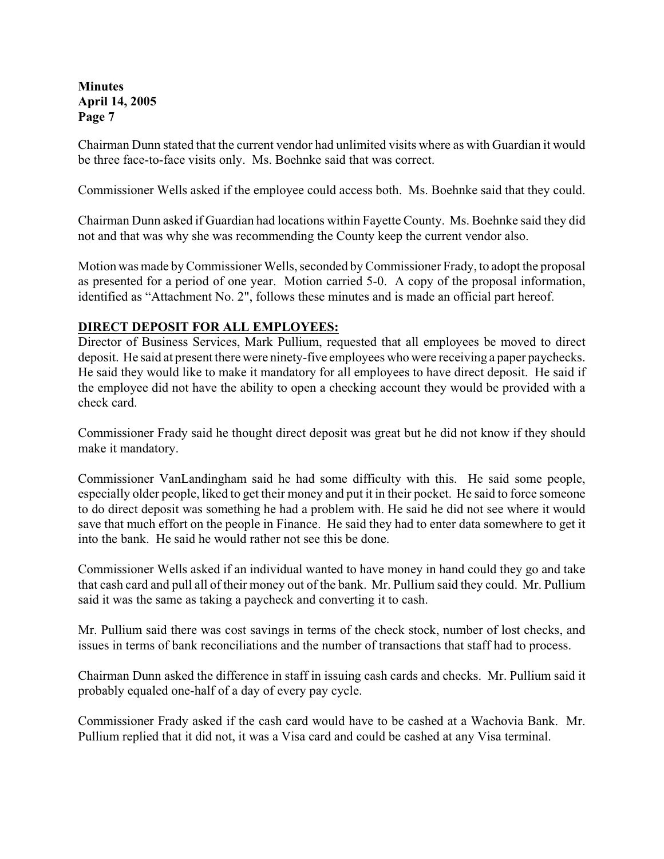Chairman Dunn stated that the current vendor had unlimited visits where as with Guardian it would be three face-to-face visits only. Ms. Boehnke said that was correct.

Commissioner Wells asked if the employee could access both. Ms. Boehnke said that they could.

Chairman Dunn asked if Guardian had locations within Fayette County. Ms. Boehnke said they did not and that was why she was recommending the County keep the current vendor also.

Motion was made by Commissioner Wells, seconded by Commissioner Frady, to adopt the proposal as presented for a period of one year. Motion carried 5-0. A copy of the proposal information, identified as "Attachment No. 2", follows these minutes and is made an official part hereof.

#### **DIRECT DEPOSIT FOR ALL EMPLOYEES:**

Director of Business Services, Mark Pullium, requested that all employees be moved to direct deposit. He said at present there were ninety-five employees who were receiving a paper paychecks. He said they would like to make it mandatory for all employees to have direct deposit. He said if the employee did not have the ability to open a checking account they would be provided with a check card.

Commissioner Frady said he thought direct deposit was great but he did not know if they should make it mandatory.

Commissioner VanLandingham said he had some difficulty with this. He said some people, especially older people, liked to get their money and put it in their pocket. He said to force someone to do direct deposit was something he had a problem with. He said he did not see where it would save that much effort on the people in Finance. He said they had to enter data somewhere to get it into the bank. He said he would rather not see this be done.

Commissioner Wells asked if an individual wanted to have money in hand could they go and take that cash card and pull all of their money out of the bank. Mr. Pullium said they could. Mr. Pullium said it was the same as taking a paycheck and converting it to cash.

Mr. Pullium said there was cost savings in terms of the check stock, number of lost checks, and issues in terms of bank reconciliations and the number of transactions that staff had to process.

Chairman Dunn asked the difference in staff in issuing cash cards and checks. Mr. Pullium said it probably equaled one-half of a day of every pay cycle.

Commissioner Frady asked if the cash card would have to be cashed at a Wachovia Bank. Mr. Pullium replied that it did not, it was a Visa card and could be cashed at any Visa terminal.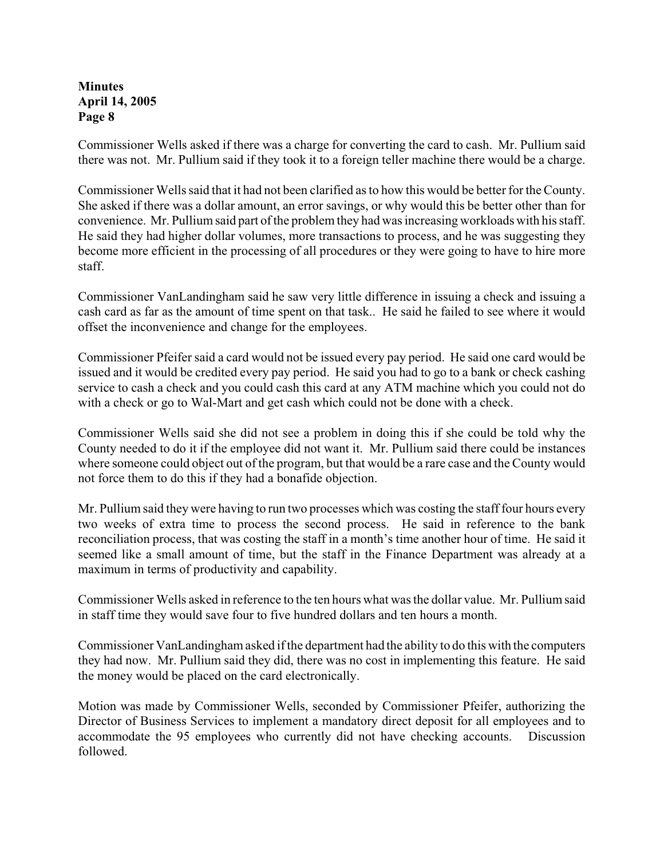Commissioner Wells asked if there was a charge for converting the card to cash. Mr. Pullium said there was not. Mr. Pullium said if they took it to a foreign teller machine there would be a charge.

Commissioner Wells said that it had not been clarified as to how this would be better for the County. She asked if there was a dollar amount, an error savings, or why would this be better other than for convenience. Mr. Pullium said part of the problem they had was increasing workloads with his staff. He said they had higher dollar volumes, more transactions to process, and he was suggesting they become more efficient in the processing of all procedures or they were going to have to hire more staff.

Commissioner VanLandingham said he saw very little difference in issuing a check and issuing a cash card as far as the amount of time spent on that task.. He said he failed to see where it would offset the inconvenience and change for the employees.

Commissioner Pfeifer said a card would not be issued every pay period. He said one card would be issued and it would be credited every pay period. He said you had to go to a bank or check cashing service to cash a check and you could cash this card at any ATM machine which you could not do with a check or go to Wal-Mart and get cash which could not be done with a check.

Commissioner Wells said she did not see a problem in doing this if she could be told why the County needed to do it if the employee did not want it. Mr. Pullium said there could be instances where someone could object out of the program, but that would be a rare case and the County would not force them to do this if they had a bonafide objection.

Mr. Pullium said they were having to run two processes which was costing the staff four hours every two weeks of extra time to process the second process. He said in reference to the bank reconciliation process, that was costing the staff in a month's time another hour of time. He said it seemed like a small amount of time, but the staff in the Finance Department was already at a maximum in terms of productivity and capability.

Commissioner Wells asked in reference to the ten hours what was the dollar value. Mr. Pullium said in staff time they would save four to five hundred dollars and ten hours a month.

Commissioner VanLandingham asked if the department had the ability to do this with the computers they had now. Mr. Pullium said they did, there was no cost in implementing this feature. He said the money would be placed on the card electronically.

Motion was made by Commissioner Wells, seconded by Commissioner Pfeifer, authorizing the Director of Business Services to implement a mandatory direct deposit for all employees and to accommodate the 95 employees who currently did not have checking accounts. Discussion followed.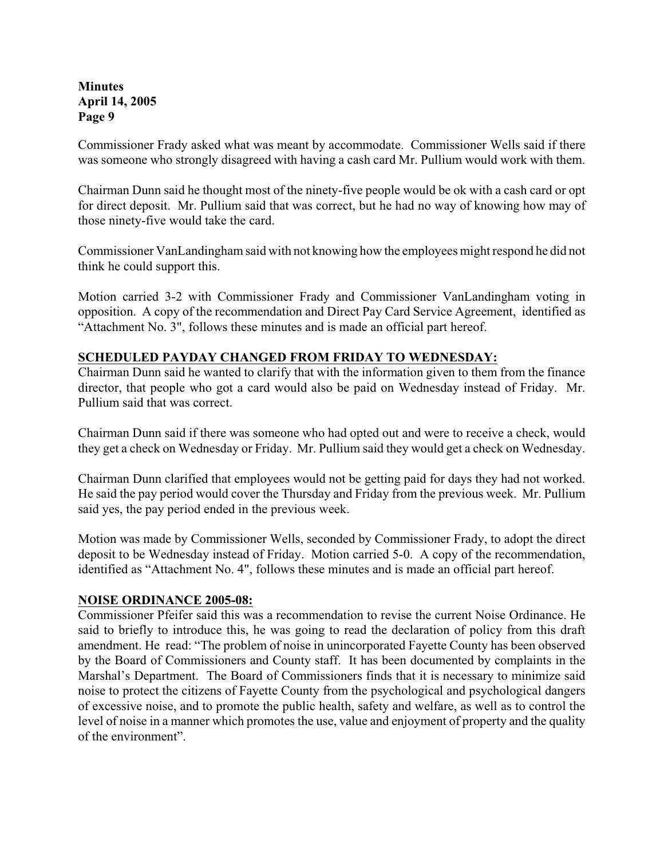Commissioner Frady asked what was meant by accommodate. Commissioner Wells said if there was someone who strongly disagreed with having a cash card Mr. Pullium would work with them.

Chairman Dunn said he thought most of the ninety-five people would be ok with a cash card or opt for direct deposit. Mr. Pullium said that was correct, but he had no way of knowing how may of those ninety-five would take the card.

Commissioner VanLandingham said with not knowing how the employees might respond he did not think he could support this.

Motion carried 3-2 with Commissioner Frady and Commissioner VanLandingham voting in opposition. A copy of the recommendation and Direct Pay Card Service Agreement, identified as "Attachment No. 3", follows these minutes and is made an official part hereof.

### **SCHEDULED PAYDAY CHANGED FROM FRIDAY TO WEDNESDAY:**

Chairman Dunn said he wanted to clarify that with the information given to them from the finance director, that people who got a card would also be paid on Wednesday instead of Friday. Mr. Pullium said that was correct.

Chairman Dunn said if there was someone who had opted out and were to receive a check, would they get a check on Wednesday or Friday. Mr. Pullium said they would get a check on Wednesday.

Chairman Dunn clarified that employees would not be getting paid for days they had not worked. He said the pay period would cover the Thursday and Friday from the previous week. Mr. Pullium said yes, the pay period ended in the previous week.

Motion was made by Commissioner Wells, seconded by Commissioner Frady, to adopt the direct deposit to be Wednesday instead of Friday. Motion carried 5-0. A copy of the recommendation, identified as "Attachment No. 4", follows these minutes and is made an official part hereof.

#### **NOISE ORDINANCE 2005-08:**

Commissioner Pfeifer said this was a recommendation to revise the current Noise Ordinance. He said to briefly to introduce this, he was going to read the declaration of policy from this draft amendment. He read: "The problem of noise in unincorporated Fayette County has been observed by the Board of Commissioners and County staff. It has been documented by complaints in the Marshal's Department. The Board of Commissioners finds that it is necessary to minimize said noise to protect the citizens of Fayette County from the psychological and psychological dangers of excessive noise, and to promote the public health, safety and welfare, as well as to control the level of noise in a manner which promotes the use, value and enjoyment of property and the quality of the environment".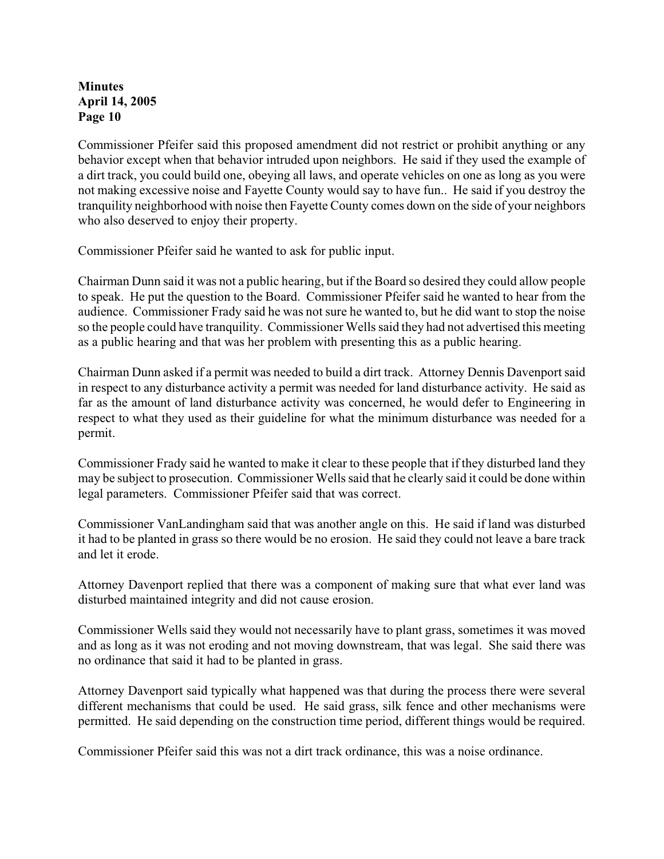Commissioner Pfeifer said this proposed amendment did not restrict or prohibit anything or any behavior except when that behavior intruded upon neighbors. He said if they used the example of a dirt track, you could build one, obeying all laws, and operate vehicles on one as long as you were not making excessive noise and Fayette County would say to have fun.. He said if you destroy the tranquility neighborhood with noise then Fayette County comes down on the side of your neighbors who also deserved to enjoy their property.

Commissioner Pfeifer said he wanted to ask for public input.

Chairman Dunn said it was not a public hearing, but if the Board so desired they could allow people to speak. He put the question to the Board. Commissioner Pfeifer said he wanted to hear from the audience. Commissioner Frady said he was not sure he wanted to, but he did want to stop the noise so the people could have tranquility. Commissioner Wells said they had not advertised this meeting as a public hearing and that was her problem with presenting this as a public hearing.

Chairman Dunn asked if a permit was needed to build a dirt track. Attorney Dennis Davenport said in respect to any disturbance activity a permit was needed for land disturbance activity. He said as far as the amount of land disturbance activity was concerned, he would defer to Engineering in respect to what they used as their guideline for what the minimum disturbance was needed for a permit.

Commissioner Frady said he wanted to make it clear to these people that if they disturbed land they may be subject to prosecution. Commissioner Wells said that he clearly said it could be done within legal parameters. Commissioner Pfeifer said that was correct.

Commissioner VanLandingham said that was another angle on this. He said if land was disturbed it had to be planted in grass so there would be no erosion. He said they could not leave a bare track and let it erode.

Attorney Davenport replied that there was a component of making sure that what ever land was disturbed maintained integrity and did not cause erosion.

Commissioner Wells said they would not necessarily have to plant grass, sometimes it was moved and as long as it was not eroding and not moving downstream, that was legal. She said there was no ordinance that said it had to be planted in grass.

Attorney Davenport said typically what happened was that during the process there were several different mechanisms that could be used. He said grass, silk fence and other mechanisms were permitted. He said depending on the construction time period, different things would be required.

Commissioner Pfeifer said this was not a dirt track ordinance, this was a noise ordinance.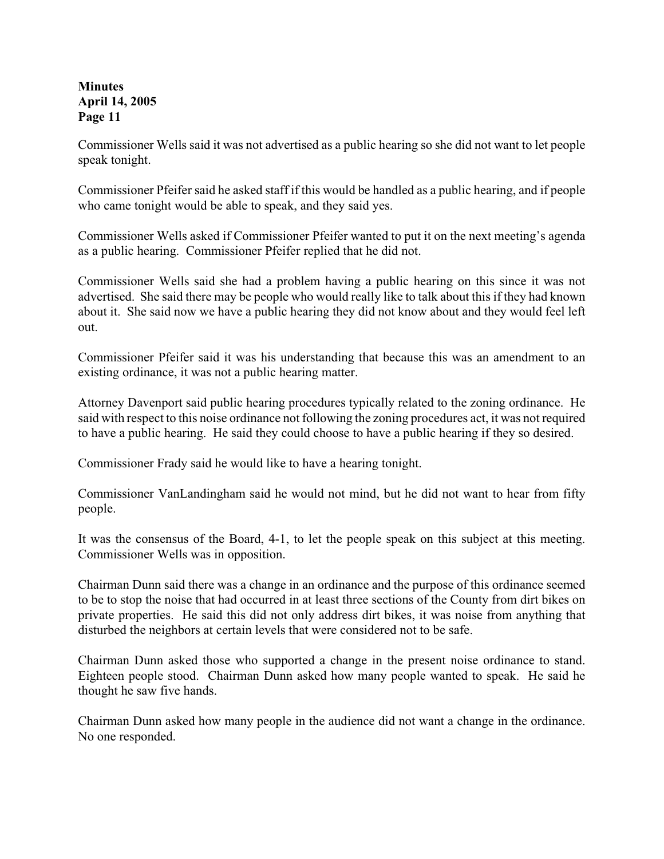Commissioner Wells said it was not advertised as a public hearing so she did not want to let people speak tonight.

Commissioner Pfeifer said he asked staff if this would be handled as a public hearing, and if people who came tonight would be able to speak, and they said yes.

Commissioner Wells asked if Commissioner Pfeifer wanted to put it on the next meeting's agenda as a public hearing. Commissioner Pfeifer replied that he did not.

Commissioner Wells said she had a problem having a public hearing on this since it was not advertised. She said there may be people who would really like to talk about this if they had known about it. She said now we have a public hearing they did not know about and they would feel left out.

Commissioner Pfeifer said it was his understanding that because this was an amendment to an existing ordinance, it was not a public hearing matter.

Attorney Davenport said public hearing procedures typically related to the zoning ordinance. He said with respect to this noise ordinance not following the zoning procedures act, it was not required to have a public hearing. He said they could choose to have a public hearing if they so desired.

Commissioner Frady said he would like to have a hearing tonight.

Commissioner VanLandingham said he would not mind, but he did not want to hear from fifty people.

It was the consensus of the Board, 4-1, to let the people speak on this subject at this meeting. Commissioner Wells was in opposition.

Chairman Dunn said there was a change in an ordinance and the purpose of this ordinance seemed to be to stop the noise that had occurred in at least three sections of the County from dirt bikes on private properties. He said this did not only address dirt bikes, it was noise from anything that disturbed the neighbors at certain levels that were considered not to be safe.

Chairman Dunn asked those who supported a change in the present noise ordinance to stand. Eighteen people stood. Chairman Dunn asked how many people wanted to speak. He said he thought he saw five hands.

Chairman Dunn asked how many people in the audience did not want a change in the ordinance. No one responded.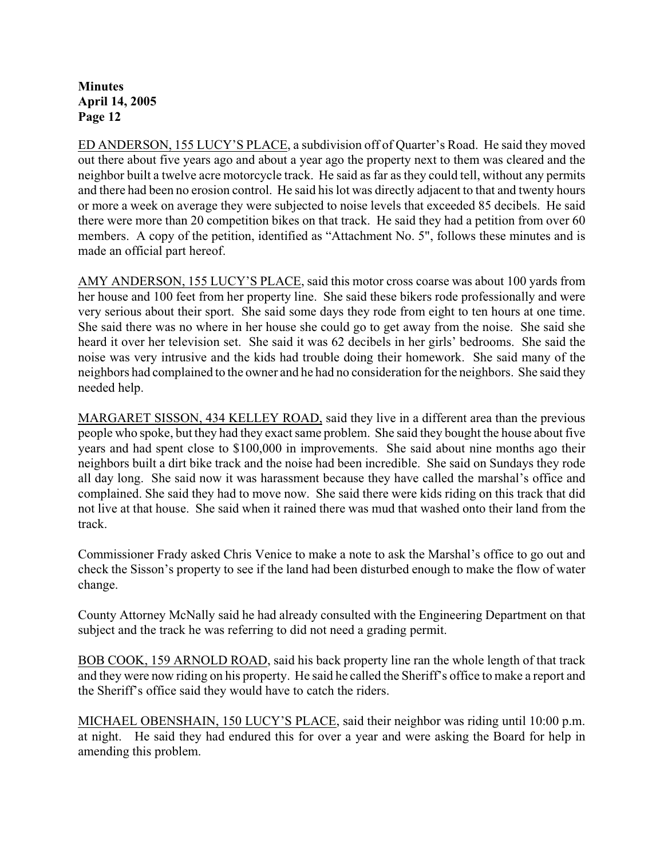ED ANDERSON, 155 LUCY'S PLACE, a subdivision off of Quarter's Road. He said they moved out there about five years ago and about a year ago the property next to them was cleared and the neighbor built a twelve acre motorcycle track. He said as far as they could tell, without any permits and there had been no erosion control. He said his lot was directly adjacent to that and twenty hours or more a week on average they were subjected to noise levels that exceeded 85 decibels. He said there were more than 20 competition bikes on that track. He said they had a petition from over 60 members. A copy of the petition, identified as "Attachment No. 5", follows these minutes and is made an official part hereof.

AMY ANDERSON, 155 LUCY'S PLACE, said this motor cross coarse was about 100 yards from her house and 100 feet from her property line. She said these bikers rode professionally and were very serious about their sport. She said some days they rode from eight to ten hours at one time. She said there was no where in her house she could go to get away from the noise. She said she heard it over her television set. She said it was 62 decibels in her girls' bedrooms. She said the noise was very intrusive and the kids had trouble doing their homework. She said many of the neighbors had complained to the owner and he had no consideration for the neighbors. She said they needed help.

MARGARET SISSON, 434 KELLEY ROAD, said they live in a different area than the previous people who spoke, but they had they exact same problem. She said they bought the house about five years and had spent close to \$100,000 in improvements. She said about nine months ago their neighbors built a dirt bike track and the noise had been incredible. She said on Sundays they rode all day long. She said now it was harassment because they have called the marshal's office and complained. She said they had to move now. She said there were kids riding on this track that did not live at that house. She said when it rained there was mud that washed onto their land from the track.

Commissioner Frady asked Chris Venice to make a note to ask the Marshal's office to go out and check the Sisson's property to see if the land had been disturbed enough to make the flow of water change.

County Attorney McNally said he had already consulted with the Engineering Department on that subject and the track he was referring to did not need a grading permit.

BOB COOK, 159 ARNOLD ROAD, said his back property line ran the whole length of that track and they were now riding on his property. He said he called the Sheriff's office to make a report and the Sheriff's office said they would have to catch the riders.

MICHAEL OBENSHAIN, 150 LUCY'S PLACE, said their neighbor was riding until 10:00 p.m. at night. He said they had endured this for over a year and were asking the Board for help in amending this problem.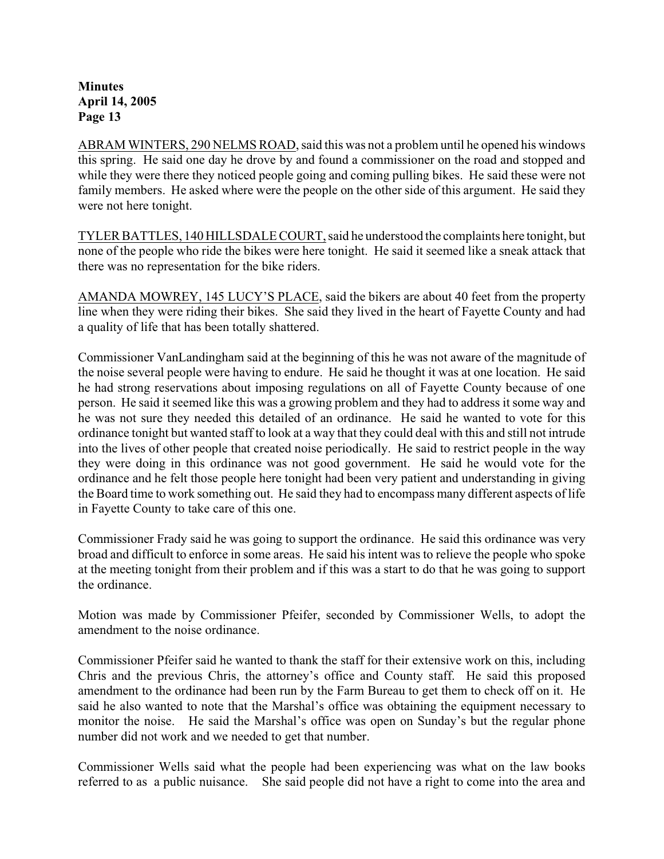ABRAM WINTERS, 290 NELMS ROAD, said this was not a problem until he opened his windows this spring. He said one day he drove by and found a commissioner on the road and stopped and while they were there they noticed people going and coming pulling bikes. He said these were not family members. He asked where were the people on the other side of this argument. He said they were not here tonight.

TYLER BATTLES, 140 HILLSDALE COURT, said he understood the complaints here tonight, but none of the people who ride the bikes were here tonight. He said it seemed like a sneak attack that there was no representation for the bike riders.

AMANDA MOWREY, 145 LUCY'S PLACE, said the bikers are about 40 feet from the property line when they were riding their bikes. She said they lived in the heart of Fayette County and had a quality of life that has been totally shattered.

Commissioner VanLandingham said at the beginning of this he was not aware of the magnitude of the noise several people were having to endure. He said he thought it was at one location. He said he had strong reservations about imposing regulations on all of Fayette County because of one person. He said it seemed like this was a growing problem and they had to address it some way and he was not sure they needed this detailed of an ordinance. He said he wanted to vote for this ordinance tonight but wanted staff to look at a way that they could deal with this and still not intrude into the lives of other people that created noise periodically. He said to restrict people in the way they were doing in this ordinance was not good government. He said he would vote for the ordinance and he felt those people here tonight had been very patient and understanding in giving the Board time to work something out. He said they had to encompass many different aspects of life in Fayette County to take care of this one.

Commissioner Frady said he was going to support the ordinance. He said this ordinance was very broad and difficult to enforce in some areas. He said his intent was to relieve the people who spoke at the meeting tonight from their problem and if this was a start to do that he was going to support the ordinance.

Motion was made by Commissioner Pfeifer, seconded by Commissioner Wells, to adopt the amendment to the noise ordinance.

Commissioner Pfeifer said he wanted to thank the staff for their extensive work on this, including Chris and the previous Chris, the attorney's office and County staff. He said this proposed amendment to the ordinance had been run by the Farm Bureau to get them to check off on it. He said he also wanted to note that the Marshal's office was obtaining the equipment necessary to monitor the noise. He said the Marshal's office was open on Sunday's but the regular phone number did not work and we needed to get that number.

Commissioner Wells said what the people had been experiencing was what on the law books referred to as a public nuisance. She said people did not have a right to come into the area and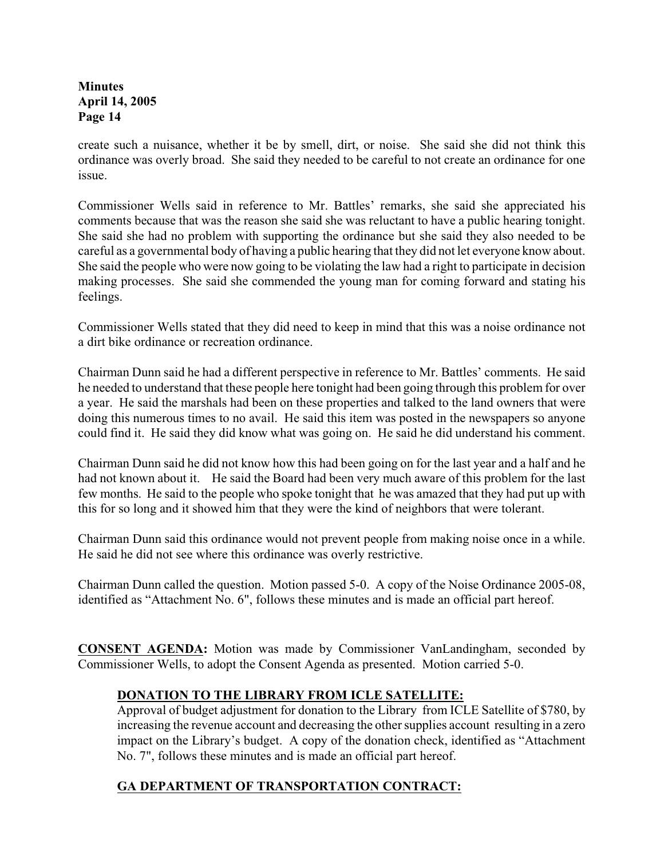create such a nuisance, whether it be by smell, dirt, or noise. She said she did not think this ordinance was overly broad. She said they needed to be careful to not create an ordinance for one issue.

Commissioner Wells said in reference to Mr. Battles' remarks, she said she appreciated his comments because that was the reason she said she was reluctant to have a public hearing tonight. She said she had no problem with supporting the ordinance but she said they also needed to be careful as a governmental body of having a public hearing that they did not let everyone know about. She said the people who were now going to be violating the law had a right to participate in decision making processes. She said she commended the young man for coming forward and stating his feelings.

Commissioner Wells stated that they did need to keep in mind that this was a noise ordinance not a dirt bike ordinance or recreation ordinance.

Chairman Dunn said he had a different perspective in reference to Mr. Battles' comments. He said he needed to understand that these people here tonight had been going through this problem for over a year. He said the marshals had been on these properties and talked to the land owners that were doing this numerous times to no avail. He said this item was posted in the newspapers so anyone could find it. He said they did know what was going on. He said he did understand his comment.

Chairman Dunn said he did not know how this had been going on for the last year and a half and he had not known about it. He said the Board had been very much aware of this problem for the last few months. He said to the people who spoke tonight that he was amazed that they had put up with this for so long and it showed him that they were the kind of neighbors that were tolerant.

Chairman Dunn said this ordinance would not prevent people from making noise once in a while. He said he did not see where this ordinance was overly restrictive.

Chairman Dunn called the question. Motion passed 5-0. A copy of the Noise Ordinance 2005-08, identified as "Attachment No. 6", follows these minutes and is made an official part hereof.

**CONSENT AGENDA:** Motion was made by Commissioner VanLandingham, seconded by Commissioner Wells, to adopt the Consent Agenda as presented. Motion carried 5-0.

# **DONATION TO THE LIBRARY FROM ICLE SATELLITE:**

Approval of budget adjustment for donation to the Library from ICLE Satellite of \$780, by increasing the revenue account and decreasing the other supplies account resulting in a zero impact on the Library's budget.A copy of the donation check, identified as "Attachment No. 7", follows these minutes and is made an official part hereof.

# **GA DEPARTMENT OF TRANSPORTATION CONTRACT:**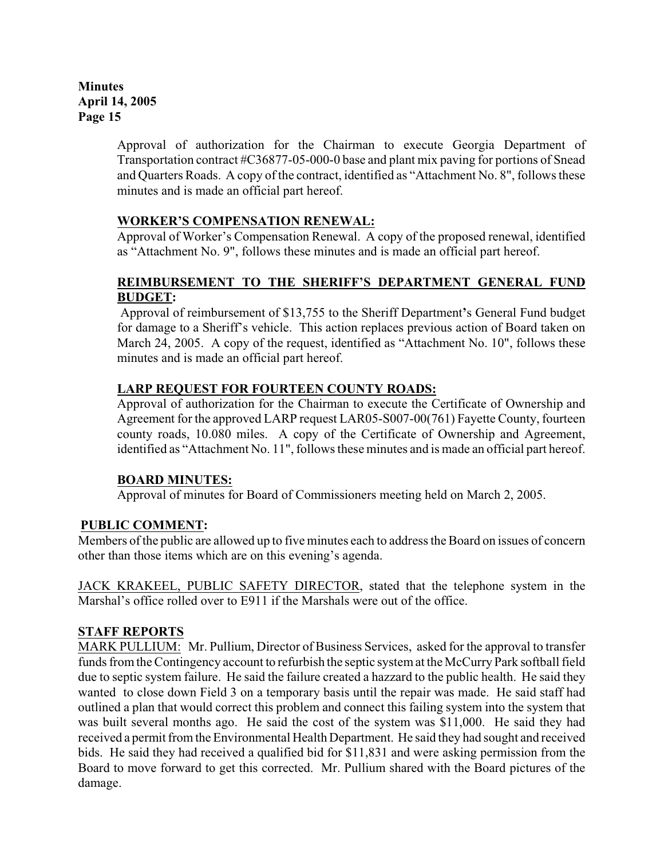> Approval of authorization for the Chairman to execute Georgia Department of Transportation contract #C36877-05-000-0 base and plant mix paving for portions of Snead and Quarters Roads.A copy of the contract, identified as "Attachment No. 8", follows these minutes and is made an official part hereof.

### **WORKER'S COMPENSATION RENEWAL:**

Approval of Worker's Compensation Renewal.A copy of the proposed renewal, identified as "Attachment No. 9", follows these minutes and is made an official part hereof.

### **REIMBURSEMENT TO THE SHERIFF'S DEPARTMENT GENERAL FUND BUDGET:**

Approval of reimbursement of \$13,755 to the Sheriff Department**'**s General Fund budget for damage to a Sheriff's vehicle. This action replaces previous action of Board taken on March 24, 2005. A copy of the request, identified as "Attachment No. 10", follows these minutes and is made an official part hereof.

### **LARP REQUEST FOR FOURTEEN COUNTY ROADS:**

Approval of authorization for the Chairman to execute the Certificate of Ownership and Agreement for the approved LARP request LAR05-S007-00(761) Fayette County, fourteen county roads, 10.080 miles. A copy of the Certificate of Ownership and Agreement, identified as "Attachment No. 11", follows these minutes and is made an official part hereof.

### **BOARD MINUTES:**

Approval of minutes for Board of Commissioners meeting held on March 2, 2005.

# **PUBLIC COMMENT:**

Members of the public are allowed up to five minutes each to address the Board on issues of concern other than those items which are on this evening's agenda.

JACK KRAKEEL, PUBLIC SAFETY DIRECTOR, stated that the telephone system in the Marshal's office rolled over to E911 if the Marshals were out of the office.

### **STAFF REPORTS**

MARK PULLIUM: Mr. Pullium, Director of Business Services, asked for the approval to transfer funds from the Contingency account to refurbish the septic system at the McCurry Park softball field due to septic system failure. He said the failure created a hazzard to the public health. He said they wanted to close down Field 3 on a temporary basis until the repair was made. He said staff had outlined a plan that would correct this problem and connect this failing system into the system that was built several months ago. He said the cost of the system was \$11,000. He said they had received a permit from the Environmental Health Department. He said they had sought and received bids. He said they had received a qualified bid for \$11,831 and were asking permission from the Board to move forward to get this corrected. Mr. Pullium shared with the Board pictures of the damage.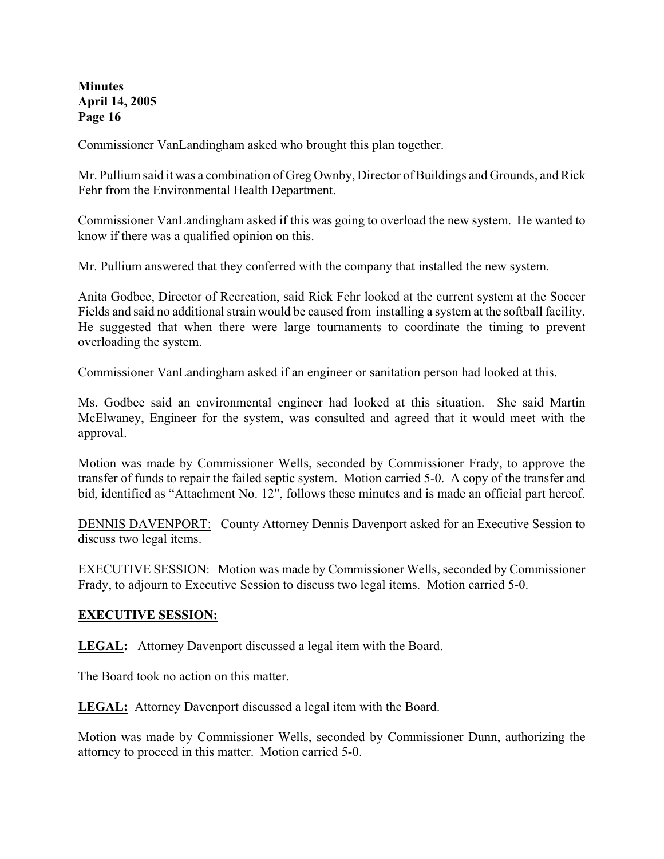Commissioner VanLandingham asked who brought this plan together.

Mr. Pullium said it was a combination of Greg Ownby, Director of Buildings and Grounds, and Rick Fehr from the Environmental Health Department.

Commissioner VanLandingham asked if this was going to overload the new system. He wanted to know if there was a qualified opinion on this.

Mr. Pullium answered that they conferred with the company that installed the new system.

Anita Godbee, Director of Recreation, said Rick Fehr looked at the current system at the Soccer Fields and said no additional strain would be caused from installing a system at the softball facility. He suggested that when there were large tournaments to coordinate the timing to prevent overloading the system.

Commissioner VanLandingham asked if an engineer or sanitation person had looked at this.

Ms. Godbee said an environmental engineer had looked at this situation. She said Martin McElwaney, Engineer for the system, was consulted and agreed that it would meet with the approval.

Motion was made by Commissioner Wells, seconded by Commissioner Frady, to approve the transfer of funds to repair the failed septic system. Motion carried 5-0. A copy of the transfer and bid, identified as "Attachment No. 12", follows these minutes and is made an official part hereof.

DENNIS DAVENPORT: County Attorney Dennis Davenport asked for an Executive Session to discuss two legal items.

EXECUTIVE SESSION: Motion was made by Commissioner Wells, seconded by Commissioner Frady, to adjourn to Executive Session to discuss two legal items. Motion carried 5-0.

### **EXECUTIVE SESSION:**

**LEGAL:** Attorney Davenport discussed a legal item with the Board.

The Board took no action on this matter.

**LEGAL:** Attorney Davenport discussed a legal item with the Board.

Motion was made by Commissioner Wells, seconded by Commissioner Dunn, authorizing the attorney to proceed in this matter. Motion carried 5-0.